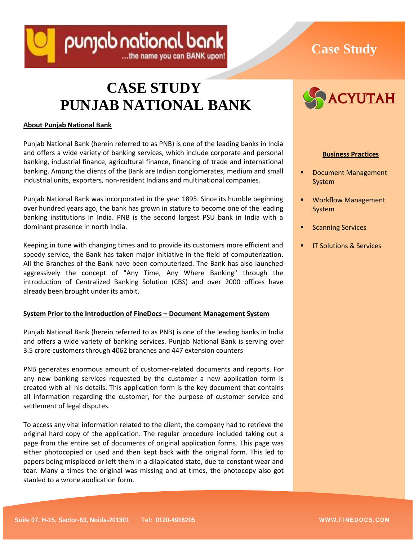

# **Case Study**

# **CASE STUDY PUNJAB NATIONAL BANK**

## **About Punjab National Bank**

Punjab National Bank (herein referred to as PNB) is one of the leading banks in India and offers a wide variety of banking services, which include corporate and personal banking, industrial finance, agricultural finance, financing of trade and international banking. Among the clients of the Bank are Indian conglomerates, medium and small industrial units, exporters, non-resident Indians and multinational companies.

Punjab National Bank was incorporated in the year 1895. Since its humble beginning over hundred years ago, the bank has grown in stature to become one of the leading banking institutions in India. PNB is the second largest PSU bank in India with a dominant presence in north India.

Keeping in tune with changing times and to provide its customers more efficient and speedy service, the Bank has taken major initiative in the field of computerization. All the Branches of the Bank have been computerized. The Bank has also launched aggressively the concept of "Any Time, Any Where Banking" through the introduction of Centralized Banking Solution (CBS) and over 2000 offices have already been brought under its ambit.

# **System Prior to the Introduction of FineDocs – Document Management System**

Punjab National Bank (herein referred to as PNB) is one of the leading banks in India and offers a wide variety of banking services. Punjab National Bank is serving over 3.5 crore customers through 4062 branches and 447 extension counters

PNB generates enormous amount of customer-related documents and reports. For any new banking services requested by the customer a new application form is created with all his details. This application form is the key document that contains all information regarding the customer, for the purpose of customer service and settlement of legal disputes.

To access any vital information related to the client, the company had to retrieve the original hard copy of the application. The regular procedure included taking out a page from the entire set of documents of original application forms. This page was either photocopied or used and then kept back with the original form. This led to papers being misplaced or left them in a dilapidated state, due to constant wear and tear. Many a times the original was missing and at times, the photocopy also got stapled to a wrong application form.



## **Business Practices**

- Document Management System
- Workflow Management System
- Scanning Services
- IT Solutions & Services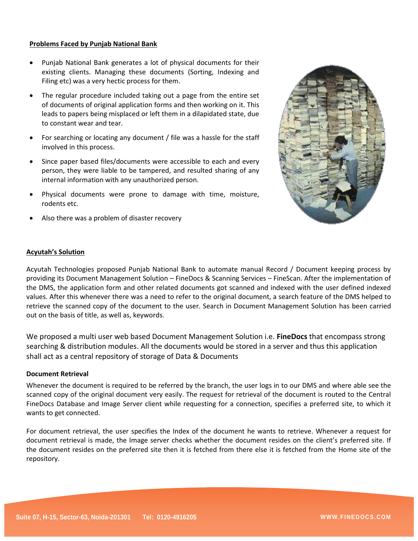#### **Problems Faced by Punjab National Bank**

- Punjab National Bank generates a lot of physical documents for their existing clients. Managing these documents (Sorting, Indexing and Filing etc) was a very hectic process for them.
- The regular procedure included taking out a page from the entire set of documents of original application forms and then working on it. This leads to papers being misplaced or left them in a dilapidated state, due to constant wear and tear.
- For searching or locating any document / file was a hassle for the staff involved in this process.
- Since paper based files/documents were accessible to each and every person, they were liable to be tampered, and resulted sharing of any internal information with any unauthorized person.
- Physical documents were prone to damage with time, moisture, rodents etc.
- Also there was a problem of disaster recovery



## **Acyutah's Solution**

Acyutah Technologies proposed Punjab National Bank to automate manual Record / Document keeping process by providing its Document Management Solution – FineDocs & Scanning Services – FineScan. After the implementation of the DMS, the application form and other related documents got scanned and indexed with the user defined indexed values. After this whenever there was a need to refer to the original document, a search feature of the DMS helped to retrieve the scanned copy of the document to the user. Search in Document Management Solution has been carried out on the basis of title, as well as, keywords.

We proposed a multi user web based Document Management Solution i.e. **FineDocs** that encompass strong searching & distribution modules. All the documents would be stored in a server and thus this application shall act as a central repository of storage of Data & Documents

#### **Document Retrieval**

Whenever the document is required to be referred by the branch, the user logs in to our DMS and where able see the scanned copy of the original document very easily. The request for retrieval of the document is routed to the Central FineDocs Database and Image Server client while requesting for a connection, specifies a preferred site, to which it wants to get connected.

For document retrieval, the user specifies the Index of the document he wants to retrieve. Whenever a request for document retrieval is made, the Image server checks whether the document resides on the client's preferred site. If the document resides on the preferred site then it is fetched from there else it is fetched from the Home site of the repository.